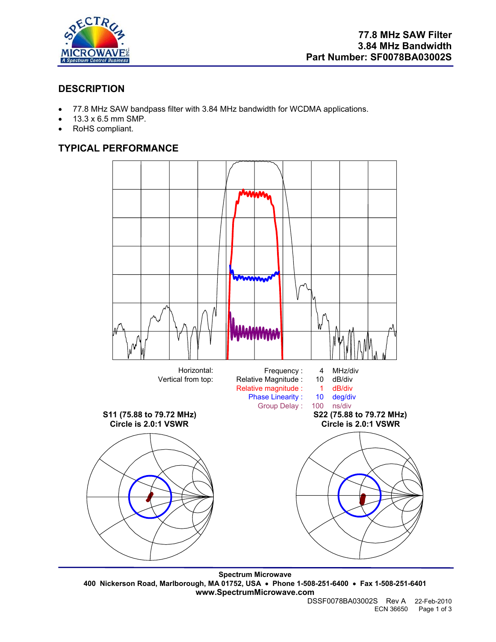

# **DESCRIPTION**

- 77.8 MHz SAW bandpass filter with 3.84 MHz bandwidth for WCDMA applications.
- 13.3 x 6.5 mm SMP.
- RoHS compliant.

# **TYPICAL PERFORMANCE**



**Spectrum Microwave 400 Nickerson Road, Marlborough, MA 01752, USA** • **Phone 1-508-251-6400** • **Fax 1-508-251-6401 www.SpectrumMicrowave.com**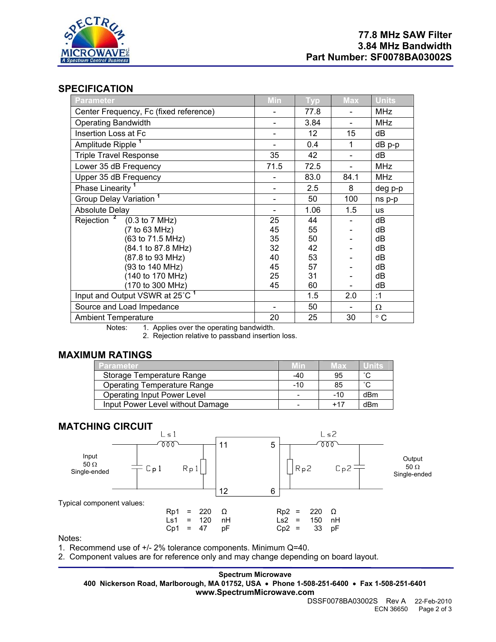

## **SPECIFICATION**

| <b>Parameter</b>                                                                                         | Min  | <b>Typ</b> | <b>Max</b> | Units        |
|----------------------------------------------------------------------------------------------------------|------|------------|------------|--------------|
| Center Frequency, Fc (fixed reference)                                                                   |      | 77.8       |            | <b>MHz</b>   |
| <b>Operating Bandwidth</b>                                                                               |      | 3.84       |            | <b>MHz</b>   |
| Insertion Loss at Fc                                                                                     |      | 12         | 15         | dВ           |
| Amplitude Ripple <sup>1</sup>                                                                            |      | 0.4        | 1          | $dB$ p-p     |
| <b>Triple Travel Response</b>                                                                            | 35   | 42         |            | dB           |
| Lower 35 dB Frequency                                                                                    | 71.5 | 72.5       |            | <b>MHz</b>   |
| Upper 35 dB Frequency                                                                                    |      | 83.0       | 84.1       | <b>MHz</b>   |
| Phase Linearity                                                                                          |      | 2.5        | 8          | deg p-p      |
| Group Delay Variation <sup>1</sup>                                                                       |      | 50         | 100        | ns p-p       |
| <b>Absolute Delay</b>                                                                                    |      | 1.06       | 1.5        | <b>us</b>    |
| Rejection $^2$ (0.3 to 7 MHz)                                                                            | 25   | 44         |            | dB           |
| (7 to 63 MHz)                                                                                            | 45   | 55         |            | dB           |
| (63 to 71.5 MHz)                                                                                         | 35   | 50         |            | dB           |
| (84.1 to 87.8 MHz)                                                                                       | 32   | 42         |            | dB           |
| (87.8 to 93 MHz)                                                                                         | 40   | 53         |            | dВ           |
| (93 to 140 MHz)                                                                                          | 45   | 57         |            | dB           |
| (140 to 170 MHz)                                                                                         | 25   | 31         |            | dB           |
| (170 to 300 MHz)                                                                                         | 45   | 60         |            | dB           |
| Input and Output VSWR at 25°C <sup>1</sup>                                                               |      | 1.5        | 2.0        | :1           |
| Source and Load Impedance                                                                                |      | 50         |            | Ω            |
| <b>Ambient Temperature</b><br>وبالقائد فالمراجع وبرابط المواصلة والقار<br>Material Angelian according to | 20   | 25         | 30         | $^{\circ}$ C |

Notes: 1. Applies over the operating bandwidth.

2. Rejection relative to passband insertion loss.

### **MAXIMUM RATINGS**

| 'Parameter'                        | Min   | Max   | Units               |
|------------------------------------|-------|-------|---------------------|
| Storage Temperature Range          | -40   | 95    | $\sim$              |
| <b>Operating Temperature Range</b> | $-10$ | 85    | $\hat{\phantom{a}}$ |
| <b>Operating Input Power Level</b> |       | $-10$ | dBm                 |
| Input Power Level without Damage   |       | $+17$ | dBm                 |

## **MATCHING CIRCUIT**



Notes:

1. Recommend use of +/- 2% tolerance components. Minimum Q=40.

2. Component values are for reference only and may change depending on board layout.

#### **Spectrum Microwave**

**400 Nickerson Road, Marlborough, MA 01752, USA** • **Phone 1-508-251-6400** • **Fax 1-508-251-6401 www.SpectrumMicrowave.com**